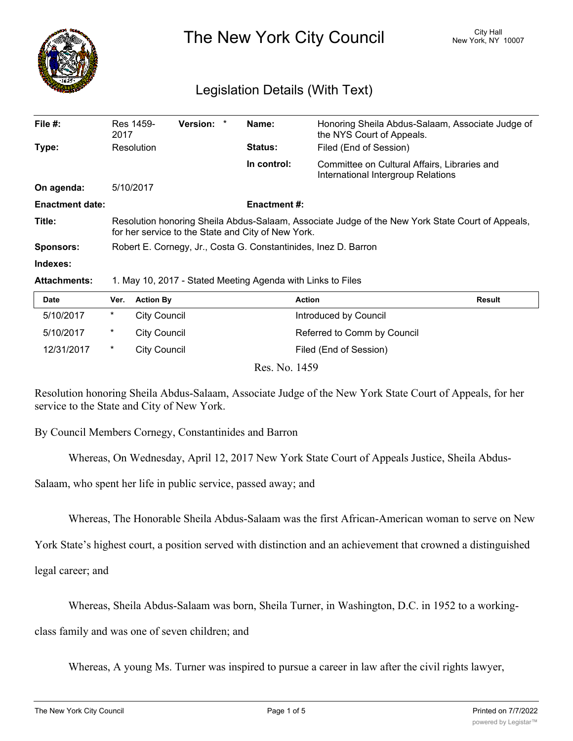

The New York City Council New York, NY 10007

## Legislation Details (With Text)

| File #:                | Res 1459-<br>2017                                                                                                                                      | <b>Version:</b><br>* |  | Name:               | Honoring Sheila Abdus-Salaam, Associate Judge of<br>the NYS Court of Appeals.      |  |
|------------------------|--------------------------------------------------------------------------------------------------------------------------------------------------------|----------------------|--|---------------------|------------------------------------------------------------------------------------|--|
| Type:                  | Resolution                                                                                                                                             |                      |  | <b>Status:</b>      | Filed (End of Session)                                                             |  |
|                        |                                                                                                                                                        |                      |  | In control:         | Committee on Cultural Affairs, Libraries and<br>International Intergroup Relations |  |
| On agenda:             | 5/10/2017                                                                                                                                              |                      |  |                     |                                                                                    |  |
| <b>Enactment date:</b> |                                                                                                                                                        |                      |  | <b>Enactment #:</b> |                                                                                    |  |
| Title:                 | Resolution honoring Sheila Abdus-Salaam, Associate Judge of the New York State Court of Appeals,<br>for her service to the State and City of New York. |                      |  |                     |                                                                                    |  |
| <b>Sponsors:</b>       | Robert E. Cornegy, Jr., Costa G. Constantinides, Inez D. Barron                                                                                        |                      |  |                     |                                                                                    |  |
| Indexes:               |                                                                                                                                                        |                      |  |                     |                                                                                    |  |
| <b>Attachments:</b>    | 1. May 10, 2017 - Stated Meeting Agenda with Links to Files                                                                                            |                      |  |                     |                                                                                    |  |

| <b>Date</b> | Ver.   | <b>Action By</b>    | Action                      | <b>Result</b> |
|-------------|--------|---------------------|-----------------------------|---------------|
| 5/10/2017   | *      | City Council        | Introduced by Council       |               |
| 5/10/2017   | $\ast$ | <b>City Council</b> | Referred to Comm by Council |               |
| 12/31/2017  | *      | City Council        | Filed (End of Session)      |               |
|             |        |                     |                             |               |

Res. No. 1459

Resolution honoring Sheila Abdus-Salaam, Associate Judge of the New York State Court of Appeals, for her service to the State and City of New York.

By Council Members Cornegy, Constantinides and Barron

Whereas, On Wednesday, April 12, 2017 New York State Court of Appeals Justice, Sheila Abdus-

Salaam, who spent her life in public service, passed away; and

Whereas, The Honorable Sheila Abdus-Salaam was the first African-American woman to serve on New

York State's highest court, a position served with distinction and an achievement that crowned a distinguished

legal career; and

Whereas, Sheila Abdus-Salaam was born, Sheila Turner, in Washington, D.C. in 1952 to a working-

class family and was one of seven children; and

Whereas, A young Ms. Turner was inspired to pursue a career in law after the civil rights lawyer,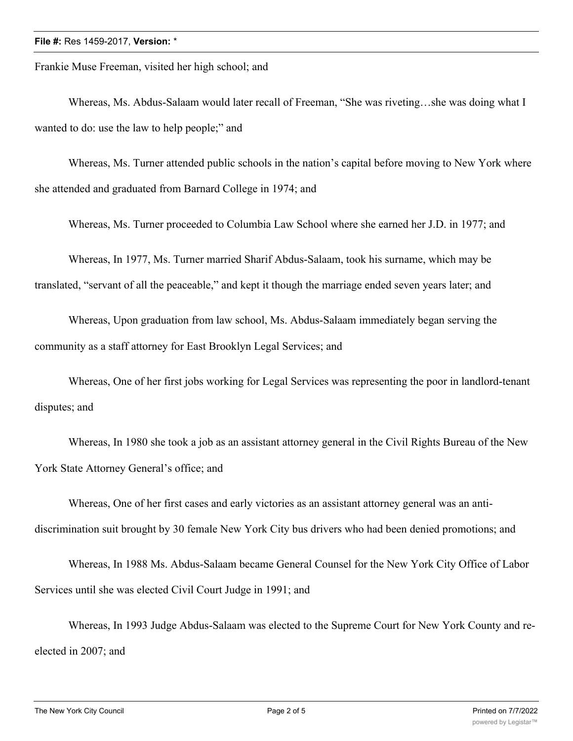## **File #:** Res 1459-2017, **Version:** \*

Frankie Muse Freeman, visited her high school; and

Whereas, Ms. Abdus-Salaam would later recall of Freeman, "She was riveting…she was doing what I wanted to do: use the law to help people;" and

Whereas, Ms. Turner attended public schools in the nation's capital before moving to New York where she attended and graduated from Barnard College in 1974; and

Whereas, Ms. Turner proceeded to Columbia Law School where she earned her J.D. in 1977; and

Whereas, In 1977, Ms. Turner married Sharif Abdus-Salaam, took his surname, which may be translated, "servant of all the peaceable," and kept it though the marriage ended seven years later; and

Whereas, Upon graduation from law school, Ms. Abdus-Salaam immediately began serving the community as a staff attorney for East Brooklyn Legal Services; and

Whereas, One of her first jobs working for Legal Services was representing the poor in landlord-tenant disputes; and

Whereas, In 1980 she took a job as an assistant attorney general in the Civil Rights Bureau of the New York State Attorney General's office; and

Whereas, One of her first cases and early victories as an assistant attorney general was an antidiscrimination suit brought by 30 female New York City bus drivers who had been denied promotions; and

Whereas, In 1988 Ms. Abdus-Salaam became General Counsel for the New York City Office of Labor Services until she was elected Civil Court Judge in 1991; and

Whereas, In 1993 Judge Abdus-Salaam was elected to the Supreme Court for New York County and reelected in 2007; and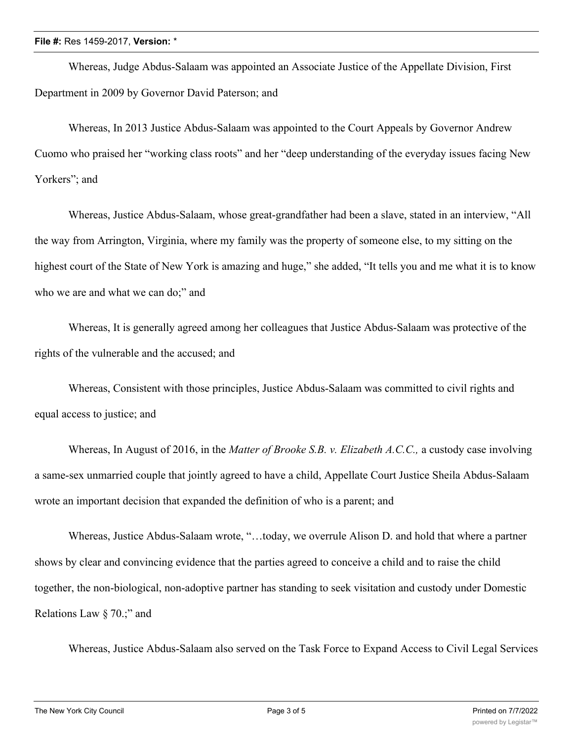## **File #:** Res 1459-2017, **Version:** \*

Whereas, Judge Abdus-Salaam was appointed an Associate Justice of the Appellate Division, First Department in 2009 by Governor David Paterson; and

Whereas, In 2013 Justice Abdus-Salaam was appointed to the Court Appeals by Governor Andrew Cuomo who praised her "working class roots" and her "deep understanding of the everyday issues facing New Yorkers"; and

Whereas, Justice Abdus-Salaam, whose great-grandfather had been a slave, stated in an interview, "All the way from Arrington, Virginia, where my family was the property of someone else, to my sitting on the highest court of the State of New York is amazing and huge," she added, "It tells you and me what it is to know who we are and what we can do;" and

Whereas, It is generally agreed among her colleagues that Justice Abdus-Salaam was protective of the rights of the vulnerable and the accused; and

Whereas, Consistent with those principles, Justice Abdus-Salaam was committed to civil rights and equal access to justice; and

Whereas, In August of 2016, in the *Matter of Brooke S.B. v. Elizabeth A.C.C.,* a custody case involving a same-sex unmarried couple that jointly agreed to have a child, Appellate Court Justice Sheila Abdus-Salaam wrote an important decision that expanded the definition of who is a parent; and

Whereas, Justice Abdus-Salaam wrote, "…today, we overrule Alison D. and hold that where a partner shows by clear and convincing evidence that the parties agreed to conceive a child and to raise the child together, the non-biological, non-adoptive partner has standing to seek visitation and custody under Domestic Relations Law § 70.;" and

Whereas, Justice Abdus-Salaam also served on the Task Force to Expand Access to Civil Legal Services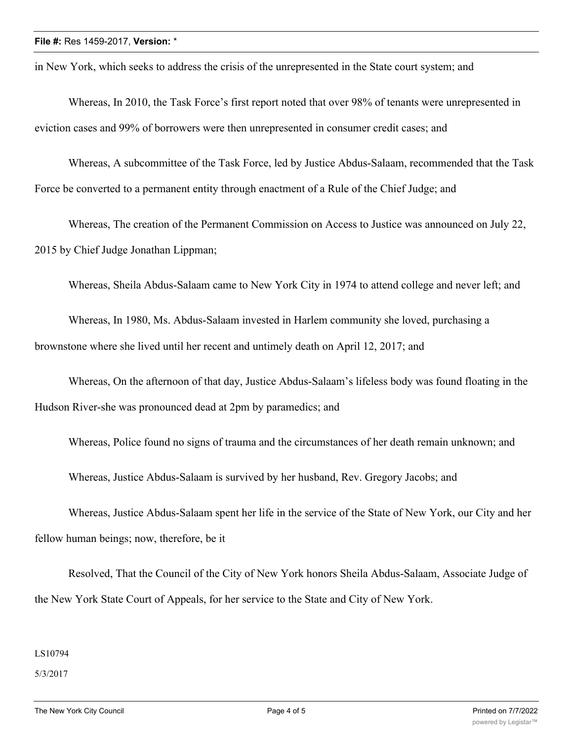in New York, which seeks to address the crisis of the unrepresented in the State court system; and

Whereas, In 2010, the Task Force's first report noted that over 98% of tenants were unrepresented in eviction cases and 99% of borrowers were then unrepresented in consumer credit cases; and

Whereas, A subcommittee of the Task Force, led by Justice Abdus-Salaam, recommended that the Task Force be converted to a permanent entity through enactment of a Rule of the Chief Judge; and

Whereas, The creation of the Permanent Commission on Access to Justice was announced on July 22, 2015 by Chief Judge Jonathan Lippman;

Whereas, Sheila Abdus-Salaam came to New York City in 1974 to attend college and never left; and

Whereas, In 1980, Ms. Abdus-Salaam invested in Harlem community she loved, purchasing a brownstone where she lived until her recent and untimely death on April 12, 2017; and

Whereas, On the afternoon of that day, Justice Abdus-Salaam's lifeless body was found floating in the Hudson River-she was pronounced dead at 2pm by paramedics; and

Whereas, Police found no signs of trauma and the circumstances of her death remain unknown; and Whereas, Justice Abdus-Salaam is survived by her husband, Rev. Gregory Jacobs; and

Whereas, Justice Abdus-Salaam spent her life in the service of the State of New York, our City and her fellow human beings; now, therefore, be it

Resolved, That the Council of the City of New York honors Sheila Abdus-Salaam, Associate Judge of the New York State Court of Appeals, for her service to the State and City of New York.

LS10794

5/3/2017